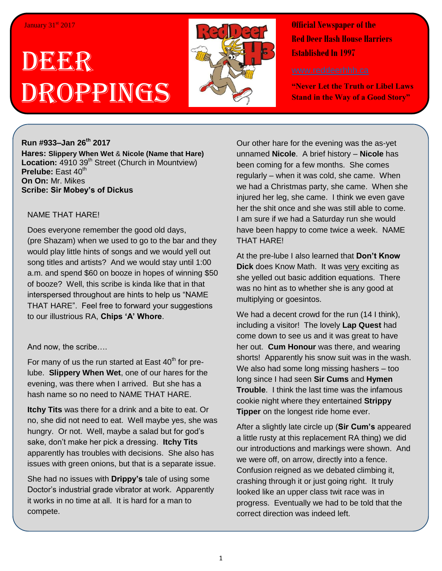# DEE EER Droppings



**Official Newspaper of the Red Deer Hash House Harriers Established In 1997** 

**"Never Let the Truth or Libel Laws Stand in the Way of a Good Story"**

### **Run #933–Jan 26 th 2017**

**Hares: Slippery When Wet** & **Nicole (Name that Hare)** Location: 4910 39<sup>th</sup> Street (Church in Mountview) Prelube: East 40<sup>th</sup> **On On:** Mr. Mikes **Scribe: Sir Mobey's of Dickus**

#### NAME THAT HARE!

Does everyone remember the good old days, (pre Shazam) when we used to go to the bar and they would play little hints of songs and we would yell out song titles and artists? And we would stay until 1:00 a.m. and spend \$60 on booze in hopes of winning \$50 of booze? Well, this scribe is kinda like that in that interspersed throughout are hints to help us "NAME THAT HARE". Feel free to forward your suggestions to our illustrious RA, **Chips 'A' Whore**.

### And now, the scribe….

For many of us the run started at East  $40<sup>th</sup>$  for prelube. **Slippery When Wet**, one of our hares for the evening, was there when I arrived. But she has a hash name so no need to NAME THAT HARE.

**Itchy Tits** was there for a drink and a bite to eat. Or no, she did not need to eat. Well maybe yes, she was hungry. Or not. Well, maybe a salad but for god's sake, don't make her pick a dressing. **Itchy Tits** apparently has troubles with decisions. She also has issues with green onions, but that is a separate issue.

She had no issues with **Drippy's** tale of using some Doctor's industrial grade vibrator at work. Apparently it works in no time at all. It is hard for a man to compete.

Our other hare for the evening was the as-yet unnamed **Nicole**. A brief history – **Nicole** has been coming for a few months. She comes regularly – when it was cold, she came. When we had a Christmas party, she came. When she injured her leg, she came. I think we even gave her the shit once and she was still able to come. I am sure if we had a Saturday run she would have been happy to come twice a week. NAME THAT HARE!

At the pre-lube I also learned that **Don't Know Dick** does Know Math. It was very exciting as she yelled out basic addition equations. There was no hint as to whether she is any good at multiplying or goesintos.

We had a decent crowd for the run (14 I think), including a visitor! The lovely **Lap Quest** had come down to see us and it was great to have her out. **Cum Honour** was there, and wearing shorts! Apparently his snow suit was in the wash. We also had some long missing hashers – too long since I had seen **Sir Cums** and **Hymen Trouble**. I think the last time was the infamous cookie night where they entertained **Strippy Tipper** on the longest ride home ever.

After a slightly late circle up (**Sir Cum's** appeared a little rusty at this replacement RA thing) we did our introductions and markings were shown. And we were off, on arrow, directly into a fence. Confusion reigned as we debated climbing it, crashing through it or just going right. It truly looked like an upper class twit race was in progress. Eventually we had to be told that the correct direction was indeed left.